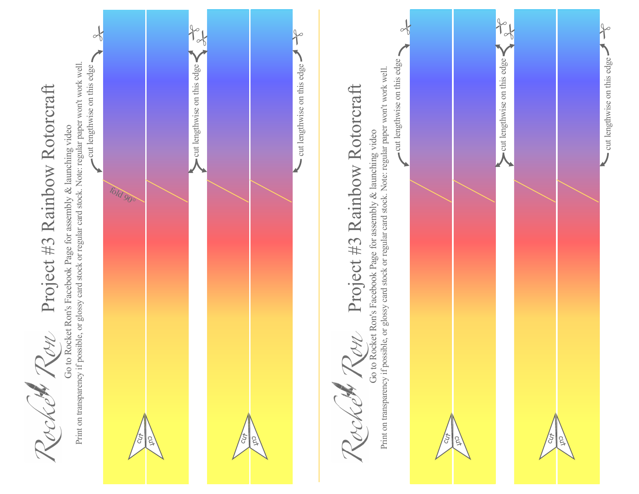